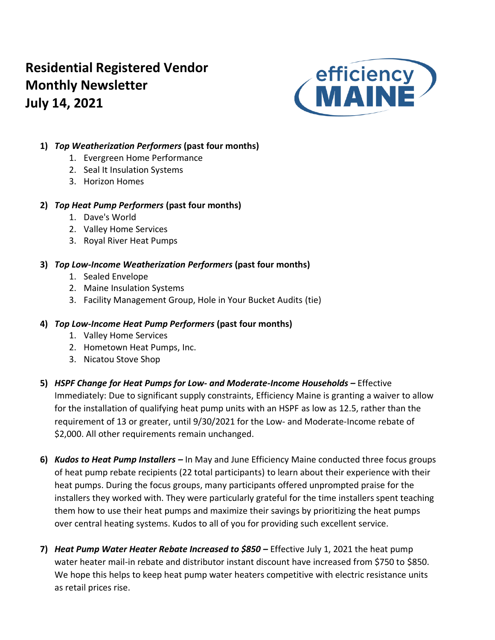# **Residential Registered Vendor Monthly Newsletter July 14, 2021**



## **1)** *Top Weatherization Performers* **(past four months)**

- 1. Evergreen Home Performance
- 2. Seal It Insulation Systems
- 3. Horizon Homes

## **2)** *Top Heat Pump Performers* **(past four months)**

- 1. Dave's World
- 2. Valley Home Services
- 3. Royal River Heat Pumps

## **3)** *Top Low-Income Weatherization Performers* **(past four months)**

- 1. Sealed Envelope
- 2. Maine Insulation Systems
- 3. Facility Management Group, Hole in Your Bucket Audits (tie)

## **4)** *Top Low-Income Heat Pump Performers* **(past four months)**

- 1. Valley Home Services
- 2. Hometown Heat Pumps, Inc.
- 3. Nicatou Stove Shop
- **5)** *HSPF Change for Heat Pumps for Low- and Moderate-Income Households –* Effective Immediately: Due to significant supply constraints, Efficiency Maine is granting a waiver to allow for the installation of qualifying heat pump units with an HSPF as low as 12.5, rather than the requirement of 13 or greater, until 9/30/2021 for the Low- and Moderate-Income rebate of \$2,000. All other requirements remain unchanged.
- **6)** *Kudos to Heat Pump Installers –* In May and June Efficiency Maine conducted three focus groups of heat pump rebate recipients (22 total participants) to learn about their experience with their heat pumps. During the focus groups, many participants offered unprompted praise for the installers they worked with. They were particularly grateful for the time installers spent teaching them how to use their heat pumps and maximize their savings by prioritizing the heat pumps over central heating systems. Kudos to all of you for providing such excellent service.
- **7)** *Heat Pump Water Heater Rebate Increased to \$850 –* Effective July 1, 2021 the heat pump water heater mail-in rebate and distributor instant discount have increased from \$750 to \$850. We hope this helps to keep heat pump water heaters competitive with electric resistance units as retail prices rise.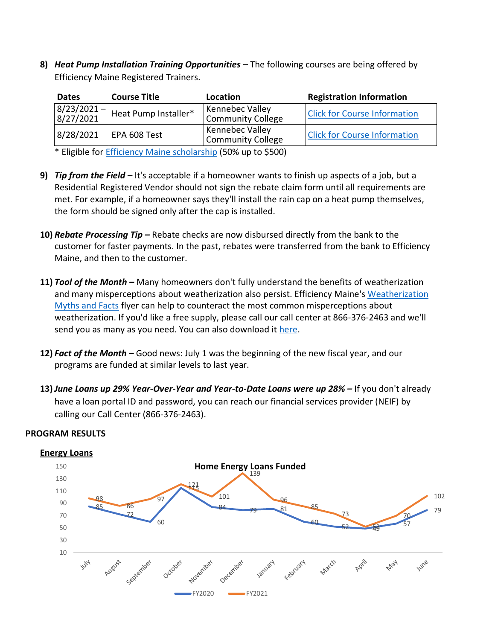**8)** *Heat Pump Installation Training Opportunities* **–** The following courses are being offered by Efficiency Maine Registered Trainers.

| <b>Dates</b>                                                                                                                        | <b>Course Title</b>  | Location                                                                                                                                                                                                                                                                                                                           | <b>Registration Information</b>     |
|-------------------------------------------------------------------------------------------------------------------------------------|----------------------|------------------------------------------------------------------------------------------------------------------------------------------------------------------------------------------------------------------------------------------------------------------------------------------------------------------------------------|-------------------------------------|
| $\begin{array}{ c c c c }\hline 8/23/2021- \\ \hline 8/27/2021\end{array}$                                                          | Heat Pump Installer* | Kennebec Valley<br><b>Community College</b>                                                                                                                                                                                                                                                                                        | <b>Click for Course Information</b> |
| 8/28/2021                                                                                                                           | EPA 608 Test         | <b>Kennebec Valley</b><br><b>Community College</b>                                                                                                                                                                                                                                                                                 | <b>Click for Course Information</b> |
| $\mathbf{a}$ and $\mathbf{a}$ and $\mathbf{a}$ and $\mathbf{a}$ and $\mathbf{a}$ and $\mathbf{a}$ and $\mathbf{a}$ and $\mathbf{a}$ | $-0.01$<br>.         | $\mathbf{1}$ $\mathbf{1}$ $\mathbf{1}$ $\mathbf{1}$ $\mathbf{1}$ $\mathbf{1}$ $\mathbf{1}$ $\mathbf{1}$ $\mathbf{1}$ $\mathbf{1}$ $\mathbf{1}$ $\mathbf{1}$ $\mathbf{1}$ $\mathbf{1}$ $\mathbf{1}$ $\mathbf{1}$ $\mathbf{1}$ $\mathbf{1}$ $\mathbf{1}$ $\mathbf{1}$ $\mathbf{1}$ $\mathbf{1}$ $\mathbf{1}$ $\mathbf{1}$ $\mathbf{$ |                                     |

\* Eligible for [Efficiency Maine scholarship](https://www.efficiencymaine.com/docs/RRV-Heat-Pump-Training-Scholarship-Application.pdf) (50% up to \$500)

- **9)** *Tip from the Field –* It's acceptable if a homeowner wants to finish up aspects of a job, but a Residential Registered Vendor should not sign the rebate claim form until all requirements are met. For example, if a homeowner says they'll install the rain cap on a heat pump themselves, the form should be signed only after the cap is installed.
- **10)** *Rebate Processing Tip –* Rebate checks are now disbursed directly from the bank to the customer for faster payments. In the past, rebates were transferred from the bank to Efficiency Maine, and then to the customer.
- **11)** *Tool of the Month –* Many homeowners don't fully understand the benefits of weatherization and many misperceptions about weatherization also persist. Efficiency Maine'[s Weatherization](https://www.efficiencymaine.com/docs/Weatherization-Myths-and-Facts.pdf)  [Myths and Facts](https://www.efficiencymaine.com/docs/Weatherization-Myths-and-Facts.pdf) flyer can help to counteract the most common misperceptions about weatherization. If you'd like a free supply, please call our call center at 866-376-2463 and we'll send you as many as you need. You can also download it [here.](https://www.efficiencymaine.com/docs/Weatherization-Myths-and-Facts.pdf)
- **12)** *Fact of the Month –* Good news: July 1 was the beginning of the new fiscal year, and our programs are funded at similar levels to last year.
- **13)** *June Loans up 29% Year-Over-Year and Year-to-Date Loans were up 28% –* If you don't already have a loan portal ID and password, you can reach our financial services provider (NEIF) by calling our Call Center (866-376-2463).



### **PROGRAM RESULTS**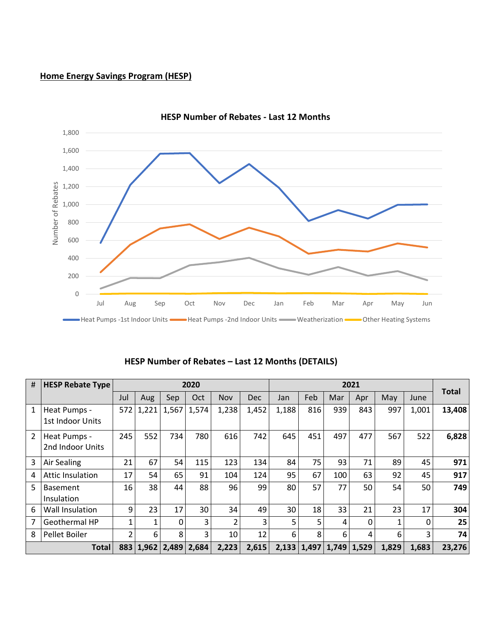## **Home Energy Savings Program (HESP)**



**HESP Number of Rebates - Last 12 Months**

|  | HESP Number of Rebates - Last 12 Months (DETAILS) |  |  |
|--|---------------------------------------------------|--|--|
|--|---------------------------------------------------|--|--|

| #              | <b>HESP Rebate Type</b> |     |       |                             | 2020  |                |            | 2021  |     |                         |              |       |       |              |
|----------------|-------------------------|-----|-------|-----------------------------|-------|----------------|------------|-------|-----|-------------------------|--------------|-------|-------|--------------|
|                |                         | Jul | Aug   | Sep                         | Oct   | <b>Nov</b>     | <b>Dec</b> | Jan   | Feb | Mar                     | Apr          | May   | June  | <b>Total</b> |
| 1              | Heat Pumps -            | 572 | 1,221 | 1,567                       | 1,574 | 1,238          | 1,452      | 1,188 | 816 | 939                     | 843          | 997   | 1,001 | 13,408       |
|                | 1st Indoor Units        |     |       |                             |       |                |            |       |     |                         |              |       |       |              |
| $\overline{2}$ | Heat Pumps -            | 245 | 552   | 734                         | 780   | 616            | 742        | 645   | 451 | 497                     | 477          | 567   | 522   | 6,828        |
|                | 2nd Indoor Units        |     |       |                             |       |                |            |       |     |                         |              |       |       |              |
| 3              | Air Sealing             | 21  | 67    | 54                          | 115   | 123            | 134        | 84    | 75  | 93                      | 71           | 89    | 45    | 971          |
| 4              | Attic Insulation        | 17  | 54    | 65                          | 91    | 104            | 124        | 95    | 67  | 100                     | 63           | 92    | 45    | 917          |
| 5              | <b>Basement</b>         | 16  | 38    | 44                          | 88    | 96             | 99         | 80    | 57  | 77                      | 50           | 54    | 50    | 749          |
|                | Insulation              |     |       |                             |       |                |            |       |     |                         |              |       |       |              |
| 6              | <b>Wall Insulation</b>  | 9   | 23    | 17                          | 30    | 34             | 49         | 30    | 18  | 33                      | 21           | 23    | 17    | 304          |
| 7              | <b>Geothermal HP</b>    | 1   |       | 0                           | 3     | $\overline{2}$ | 3          | 5     | 5   | 4                       | $\mathbf{0}$ |       | 0     | 25           |
| 8              | Pellet Boiler           | 2   | 6     | 8                           | 3     | 10             | 12         | 6     | 8   | 6                       | 4            | 6     | 3     | 74           |
|                | <b>Total</b>            |     |       | 883   1,962   2,489   2,684 |       | 2,223          | 2,615      |       |     | 2,133 1,497 1,749 1,529 |              | 1,829 | 1,683 | 23,276       |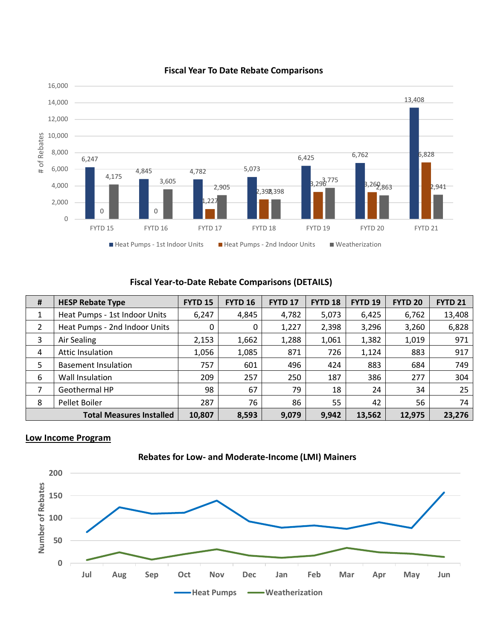

#### **Fiscal Year To Date Rebate Comparisons**

## **Fiscal Year-to-Date Rebate Comparisons (DETAILS)**

| # | <b>HESP Rebate Type</b>         | <b>FYTD 15</b> | <b>FYTD 16</b> | <b>FYTD 17</b> | FYTD <sub>18</sub> | <b>FYTD 19</b> | <b>FYTD 20</b> | <b>FYTD 21</b> |
|---|---------------------------------|----------------|----------------|----------------|--------------------|----------------|----------------|----------------|
| 1 | Heat Pumps - 1st Indoor Units   | 6,247          | 4,845          | 4,782          | 5,073              | 6,425          | 6,762          | 13,408         |
| 2 | Heat Pumps - 2nd Indoor Units   | 0              | 0              | 1,227          | 2,398              | 3,296          | 3,260          | 6,828          |
| 3 | Air Sealing                     | 2,153          | 1,662          | 1,288          | 1,061              | 1,382          | 1,019          | 971            |
| 4 | <b>Attic Insulation</b>         | 1,056          | 1,085          | 871            | 726                | 1,124          | 883            | 917            |
| 5 | <b>Basement Insulation</b>      | 757            | 601            | 496            | 424                | 883            | 684            | 749            |
| 6 | Wall Insulation                 | 209            | 257            | 250            | 187                | 386            | 277            | 304            |
| 7 | Geothermal HP                   | 98             | 67             | 79             | 18                 | 24             | 34             | 25             |
| 8 | Pellet Boiler                   | 287            | 76             | 86             | 55                 | 42             | 56             | 74             |
|   | <b>Total Measures Installed</b> | 10,807         | 8,593          | 9,079          | 9,942              | 13,562         | 12,975         | 23,276         |

## **Low Income Program**